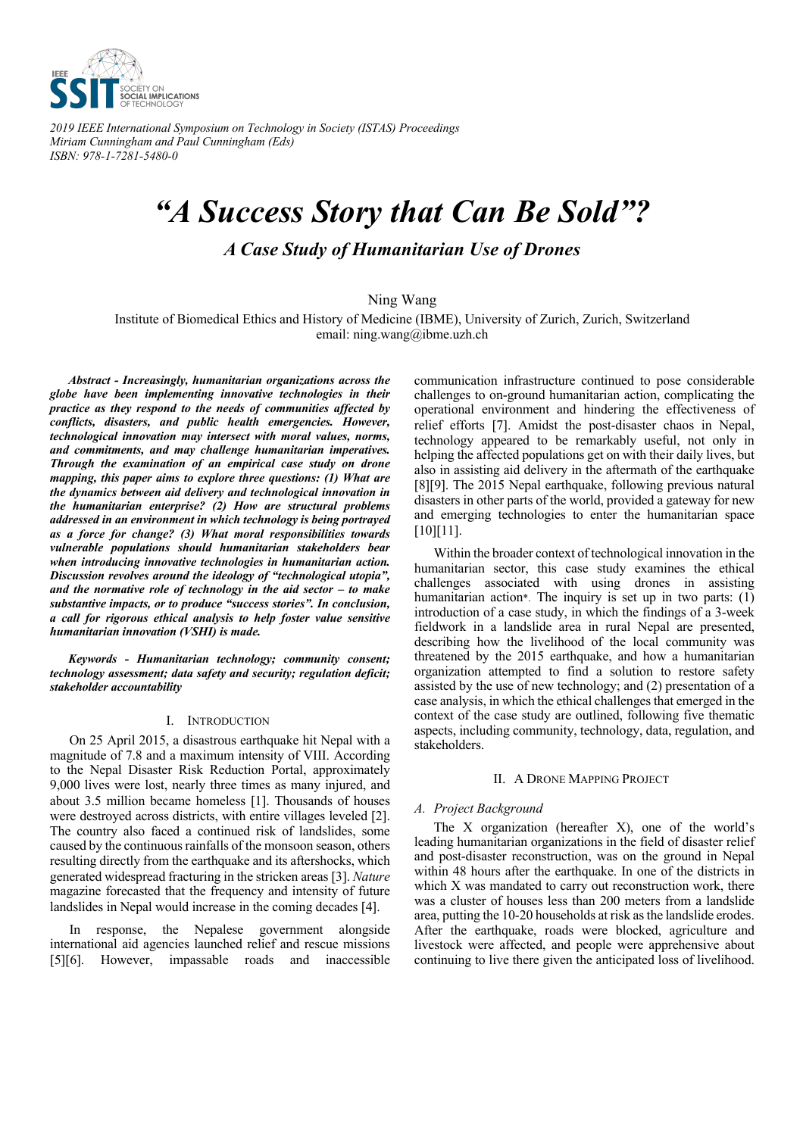

*2019 IEEE International Symposium on Technology in Society (ISTAS) Proceedings Miriam Cunningham and Paul Cunningham (Eds) ISBN: 978-1-7281-5480-0*

# *"A Success Story that Can Be Sold"? A Case Study of Humanitarian Use of Drones*

Ning Wang

Institute of Biomedical Ethics and History of Medicine (IBME), University of Zurich, Zurich, Switzerland email: ning.wang@ibme.uzh.ch

*Abstract - Increasingly, humanitarian organizations across the globe have been implementing innovative technologies in their practice as they respond to the needs of communities affected by conflicts, disasters, and public health emergencies. However, technological innovation may intersect with moral values, norms, and commitments, and may challenge humanitarian imperatives. Through the examination of an empirical case study on drone mapping, this paper aims to explore three questions: (1) What are the dynamics between aid delivery and technological innovation in the humanitarian enterprise? (2) How are structural problems addressed in an environment in which technology is being portrayed as a force for change? (3) What moral responsibilities towards vulnerable populations should humanitarian stakeholders bear when introducing innovative technologies in humanitarian action. Discussion revolves around the ideology of "technological utopia", and the normative role of technology in the aid sector – to make substantive impacts, or to produce "success stories". In conclusion, a call for rigorous ethical analysis to help foster value sensitive humanitarian innovation (VSHI) is made.*

*Keywords - Humanitarian technology; community consent; technology assessment; data safety and security; regulation deficit; stakeholder accountability*

# I. INTRODUCTION

On 25 April 2015, a disastrous earthquake hit Nepal with a magnitude of 7.8 and a maximum intensity of VIII. According to the Nepal Disaster Risk Reduction Portal, approximately 9,000 lives were lost, nearly three times as many injured, and about 3.5 million became homeless [1]. Thousands of houses were destroyed across districts, with entire villages leveled [2]. The country also faced a continued risk of landslides, some caused by the continuous rainfalls of the monsoon season, others resulting directly from the earthquake and its aftershocks, which generated widespread fracturing in the stricken areas [3]. *Nature* magazine forecasted that the frequency and intensity of future landslides in Nepal would increase in the coming decades [4].

In response, the Nepalese government alongside international aid agencies launched relief and rescue missions [5][6]. However, impassable roads and inaccessible communication infrastructure continued to pose considerable challenges to on-ground humanitarian action, complicating the operational environment and hindering the effectiveness of relief efforts [7]. Amidst the post-disaster chaos in Nepal, technology appeared to be remarkably useful, not only in helping the affected populations get on with their daily lives, but also in assisting aid delivery in the aftermath of the earthquake [8][9]. The 2015 Nepal earthquake, following previous natural disasters in other parts of the world, provided a gateway for new and emerging technologies to enter the humanitarian space [10][11].

Within the broader context of technological innovation in the humanitarian sector, this case study examines the ethical challenges associated with using drones in assisting humanitarian action\*. The inquiry is set up in two parts: (1) introduction of a case study, in which the findings of a 3-week fieldwork in a landslide area in rural Nepal are presented, describing how the livelihood of the local community was threatened by the 2015 earthquake, and how a humanitarian organization attempted to find a solution to restore safety assisted by the use of new technology; and (2) presentation of a case analysis, in which the ethical challenges that emerged in the context of the case study are outlined, following five thematic aspects, including community, technology, data, regulation, and stakeholders.

#### II. A DRONE MAPPING PROJECT

# *A. Project Background*

The X organization (hereafter X), one of the world's leading humanitarian organizations in the field of disaster relief and post-disaster reconstruction, was on the ground in Nepal within 48 hours after the earthquake. In one of the districts in which X was mandated to carry out reconstruction work, there was a cluster of houses less than 200 meters from a landslide area, putting the 10-20 households at risk as the landslide erodes. After the earthquake, roads were blocked, agriculture and livestock were affected, and people were apprehensive about continuing to live there given the anticipated loss of livelihood.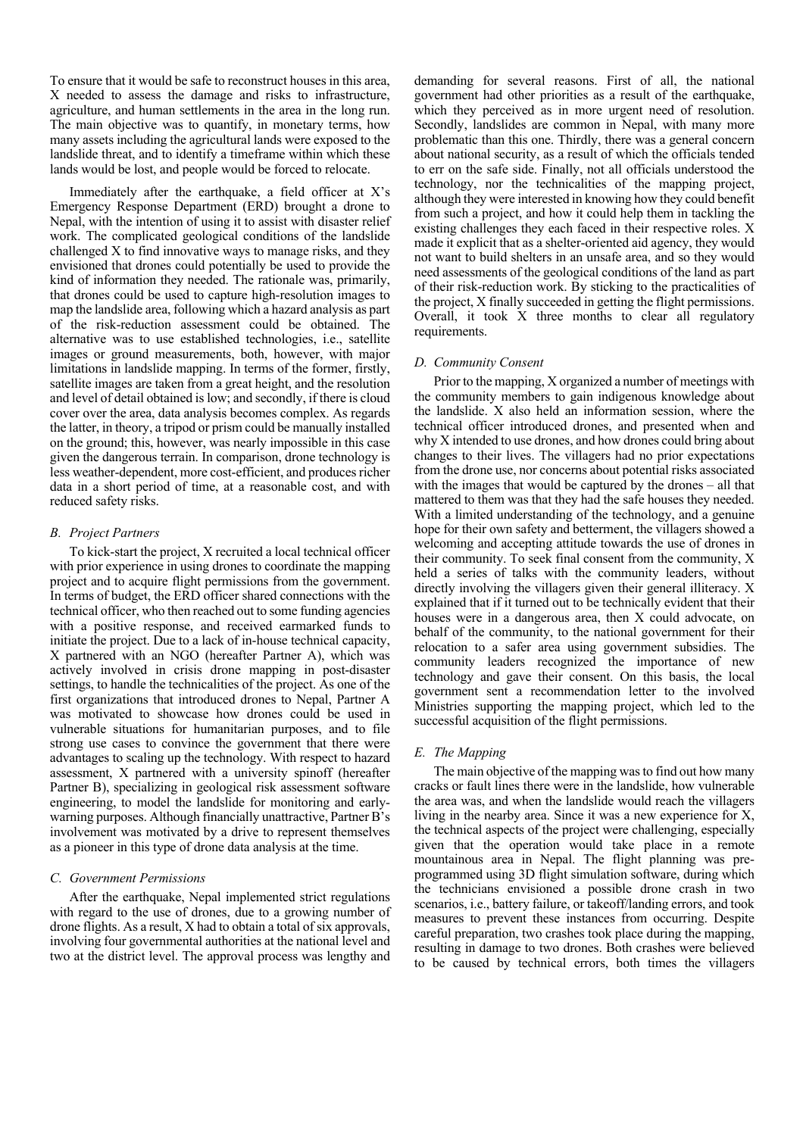To ensure that it would be safe to reconstruct houses in this area, X needed to assess the damage and risks to infrastructure, agriculture, and human settlements in the area in the long run. The main objective was to quantify, in monetary terms, how many assets including the agricultural lands were exposed to the landslide threat, and to identify a timeframe within which these lands would be lost, and people would be forced to relocate.

Immediately after the earthquake, a field officer at X's Emergency Response Department (ERD) brought a drone to Nepal, with the intention of using it to assist with disaster relief work. The complicated geological conditions of the landslide challenged X to find innovative ways to manage risks, and they envisioned that drones could potentially be used to provide the kind of information they needed. The rationale was, primarily, that drones could be used to capture high-resolution images to map the landslide area, following which a hazard analysis as part of the risk-reduction assessment could be obtained. The alternative was to use established technologies, i.e., satellite images or ground measurements, both, however, with major limitations in landslide mapping. In terms of the former, firstly, satellite images are taken from a great height, and the resolution and level of detail obtained is low; and secondly, if there is cloud cover over the area, data analysis becomes complex. As regards the latter, in theory, a tripod or prism could be manually installed on the ground; this, however, was nearly impossible in this case given the dangerous terrain. In comparison, drone technology is less weather-dependent, more cost-efficient, and produces richer data in a short period of time, at a reasonable cost, and with reduced safety risks.

## *B. Project Partners*

To kick-start the project, X recruited a local technical officer with prior experience in using drones to coordinate the mapping project and to acquire flight permissions from the government. In terms of budget, the ERD officer shared connections with the technical officer, who then reached out to some funding agencies with a positive response, and received earmarked funds to initiate the project. Due to a lack of in-house technical capacity, X partnered with an NGO (hereafter Partner A), which was actively involved in crisis drone mapping in post-disaster settings, to handle the technicalities of the project. As one of the first organizations that introduced drones to Nepal, Partner A was motivated to showcase how drones could be used in vulnerable situations for humanitarian purposes, and to file strong use cases to convince the government that there were advantages to scaling up the technology. With respect to hazard assessment, X partnered with a university spinoff (hereafter Partner B), specializing in geological risk assessment software engineering, to model the landslide for monitoring and earlywarning purposes. Although financially unattractive, Partner B's involvement was motivated by a drive to represent themselves as a pioneer in this type of drone data analysis at the time.

# *C. Government Permissions*

After the earthquake, Nepal implemented strict regulations with regard to the use of drones, due to a growing number of drone flights. As a result, X had to obtain a total of six approvals, involving four governmental authorities at the national level and two at the district level. The approval process was lengthy and

demanding for several reasons. First of all, the national government had other priorities as a result of the earthquake, which they perceived as in more urgent need of resolution. Secondly, landslides are common in Nepal, with many more problematic than this one. Thirdly, there was a general concern about national security, as a result of which the officials tended to err on the safe side. Finally, not all officials understood the technology, nor the technicalities of the mapping project, although they were interested in knowing how they could benefit from such a project, and how it could help them in tackling the existing challenges they each faced in their respective roles. X made it explicit that as a shelter-oriented aid agency, they would not want to build shelters in an unsafe area, and so they would need assessments of the geological conditions of the land as part of their risk-reduction work. By sticking to the practicalities of the project, X finally succeeded in getting the flight permissions. Overall, it took X three months to clear all regulatory requirements.

#### *D. Community Consent*

Prior to the mapping, X organized a number of meetings with the community members to gain indigenous knowledge about the landslide. X also held an information session, where the technical officer introduced drones, and presented when and why X intended to use drones, and how drones could bring about changes to their lives. The villagers had no prior expectations from the drone use, nor concerns about potential risks associated with the images that would be captured by the drones – all that mattered to them was that they had the safe houses they needed. With a limited understanding of the technology, and a genuine hope for their own safety and betterment, the villagers showed a welcoming and accepting attitude towards the use of drones in their community. To seek final consent from the community, X held a series of talks with the community leaders, without directly involving the villagers given their general illiteracy. X explained that if it turned out to be technically evident that their houses were in a dangerous area, then X could advocate, on behalf of the community, to the national government for their relocation to a safer area using government subsidies. The community leaders recognized the importance of new technology and gave their consent. On this basis, the local government sent a recommendation letter to the involved Ministries supporting the mapping project, which led to the successful acquisition of the flight permissions.

#### *E. The Mapping*

The main objective of the mapping was to find out how many cracks or fault lines there were in the landslide, how vulnerable the area was, and when the landslide would reach the villagers living in the nearby area. Since it was a new experience for X, the technical aspects of the project were challenging, especially given that the operation would take place in a remote mountainous area in Nepal. The flight planning was preprogrammed using 3D flight simulation software, during which the technicians envisioned a possible drone crash in two scenarios, i.e., battery failure, or takeoff/landing errors, and took measures to prevent these instances from occurring. Despite careful preparation, two crashes took place during the mapping, resulting in damage to two drones. Both crashes were believed to be caused by technical errors, both times the villagers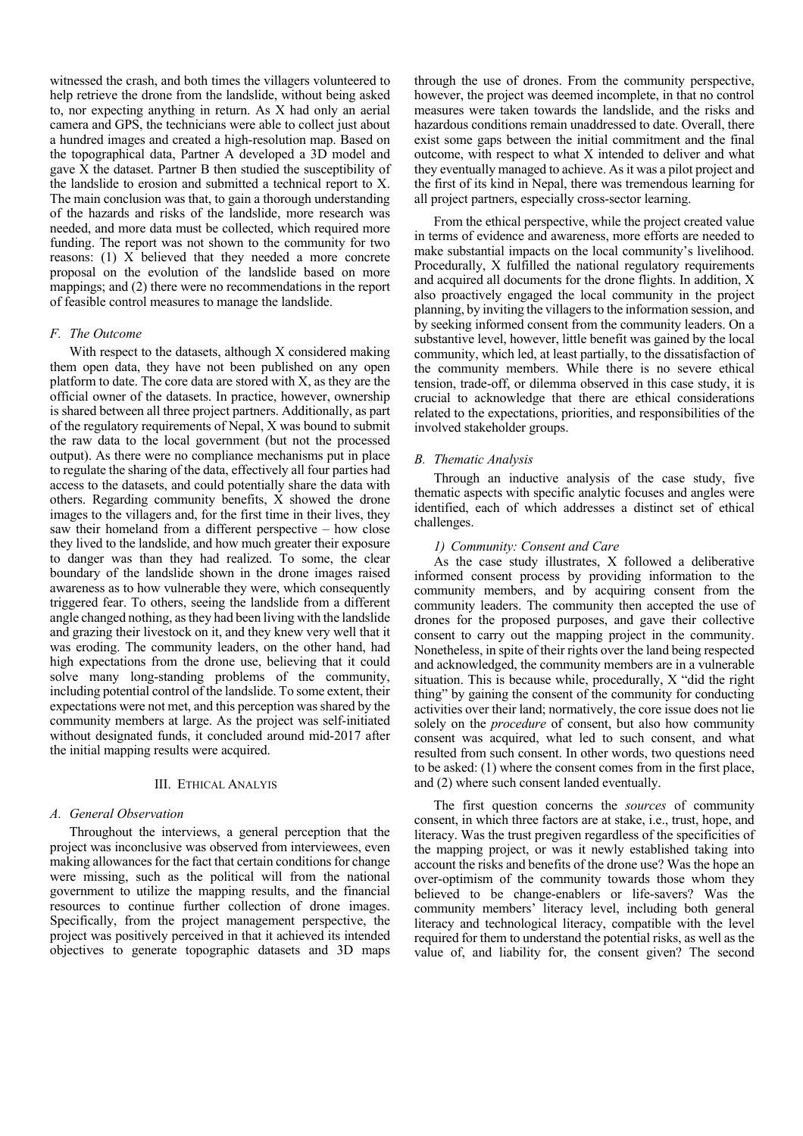witnessed the crash, and both times the villagers volunteered to help retrieve the drone from the landslide, without being asked to, nor expecting anything in return. As X had only an aerial camera and GPS, the technicians were able to collect just about a hundred images and created a high-resolution map. Based on the topographical data, Partner A developed a 3D model and gave X the dataset. Partner B then studied the susceptibility of the landslide to erosion and submitted a technical report to X. The main conclusion was that, to gain a thorough understanding of the hazards and risks of the landslide, more research was needed, and more data must be collected, which required more funding. The report was not shown to the community for two reasons: (1) X believed that they needed a more concrete proposal on the evolution of the landslide based on more mappings; and (2) there were no recommendations in the report of feasible control measures to manage the landslide.

## *F. The Outcome*

With respect to the datasets, although X considered making them open data, they have not been published on any open platform to date. The core data are stored with X, as they are the official owner of the datasets. In practice, however, ownership is shared between all three project partners. Additionally, as part of the regulatory requirements of Nepal, X was bound to submit the raw data to the local government (but not the processed output). As there were no compliance mechanisms put in place to regulate the sharing of the data, effectively all four parties had access to the datasets, and could potentially share the data with others. Regarding community benefits, X showed the drone images to the villagers and, for the first time in their lives, they saw their homeland from a different perspective – how close they lived to the landslide, and how much greater their exposure to danger was than they had realized. To some, the clear boundary of the landslide shown in the drone images raised awareness as to how vulnerable they were, which consequently triggered fear. To others, seeing the landslide from a different angle changed nothing, as they had been living with the landslide and grazing their livestock on it, and they knew very well that it was eroding. The community leaders, on the other hand, had high expectations from the drone use, believing that it could solve many long-standing problems of the community, including potential control of the landslide. To some extent, their expectations were not met, and this perception was shared by the community members at large. As the project was self-initiated without designated funds, it concluded around mid-2017 after the initial mapping results were acquired.

# III. ETHICAL ANALYIS

#### *A. General Observation*

Throughout the interviews, a general perception that the project was inconclusive was observed from interviewees, even making allowances for the fact that certain conditions for change were missing, such as the political will from the national government to utilize the mapping results, and the financial resources to continue further collection of drone images. Specifically, from the project management perspective, the project was positively perceived in that it achieved its intended objectives to generate topographic datasets and 3D maps

through the use of drones. From the community perspective, however, the project was deemed incomplete, in that no control measures were taken towards the landslide, and the risks and hazardous conditions remain unaddressed to date. Overall, there exist some gaps between the initial commitment and the final outcome, with respect to what X intended to deliver and what they eventually managed to achieve. As it was a pilot project and the first of its kind in Nepal, there was tremendous learning for all project partners, especially cross-sector learning.

From the ethical perspective, while the project created value in terms of evidence and awareness, more efforts are needed to make substantial impacts on the local community's livelihood. Procedurally, X fulfilled the national regulatory requirements and acquired all documents for the drone flights. In addition, X also proactively engaged the local community in the project planning, by inviting the villagers to the information session, and by seeking informed consent from the community leaders. On a substantive level, however, little benefit was gained by the local community, which led, at least partially, to the dissatisfaction of the community members. While there is no severe ethical tension, trade-off, or dilemma observed in this case study, it is crucial to acknowledge that there are ethical considerations related to the expectations, priorities, and responsibilities of the involved stakeholder groups.

#### *B. Thematic Analysis*

Through an inductive analysis of the case study, five thematic aspects with specific analytic focuses and angles were identified, each of which addresses a distinct set of ethical challenges.

#### *1) Community: Consent and Care*

As the case study illustrates, X followed a deliberative informed consent process by providing information to the community members, and by acquiring consent from the community leaders. The community then accepted the use of drones for the proposed purposes, and gave their collective consent to carry out the mapping project in the community. Nonetheless, in spite of their rights over the land being respected and acknowledged, the community members are in a vulnerable situation. This is because while, procedurally, X "did the right thing" by gaining the consent of the community for conducting activities over their land; normatively, the core issue does not lie solely on the *procedure* of consent, but also how community consent was acquired, what led to such consent, and what resulted from such consent. In other words, two questions need to be asked: (1) where the consent comes from in the first place, and (2) where such consent landed eventually.

The first question concerns the *sources* of community consent, in which three factors are at stake, i.e., trust, hope, and literacy. Was the trust pregiven regardless of the specificities of the mapping project, or was it newly established taking into account the risks and benefits of the drone use? Was the hope an over-optimism of the community towards those whom they believed to be change-enablers or life-savers? Was the community members' literacy level, including both general literacy and technological literacy, compatible with the level required for them to understand the potential risks, as well as the value of, and liability for, the consent given? The second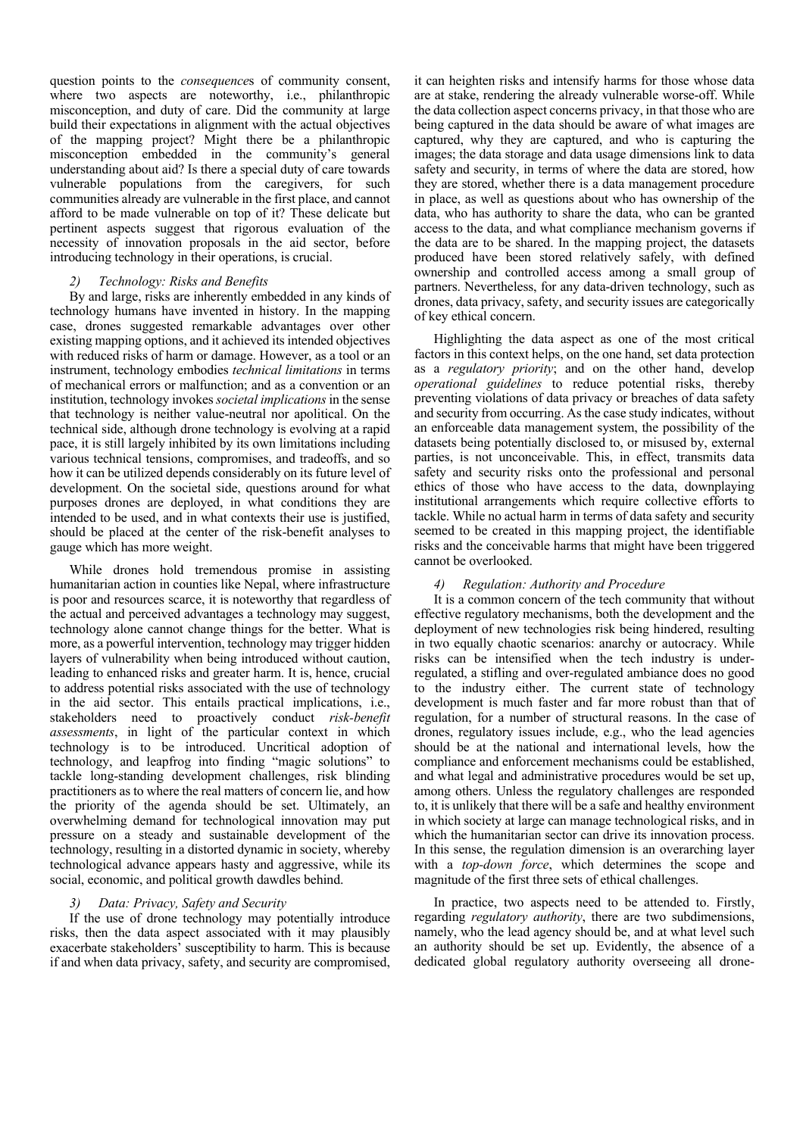question points to the *consequence*s of community consent, where two aspects are noteworthy, i.e., philanthropic misconception, and duty of care. Did the community at large build their expectations in alignment with the actual objectives of the mapping project? Might there be a philanthropic misconception embedded in the community's general understanding about aid? Is there a special duty of care towards vulnerable populations from the caregivers, for such communities already are vulnerable in the first place, and cannot afford to be made vulnerable on top of it? These delicate but pertinent aspects suggest that rigorous evaluation of the necessity of innovation proposals in the aid sector, before introducing technology in their operations, is crucial.

# *2) Technology: Risks and Benefits*

By and large, risks are inherently embedded in any kinds of technology humans have invented in history. In the mapping case, drones suggested remarkable advantages over other existing mapping options, and it achieved its intended objectives with reduced risks of harm or damage. However, as a tool or an instrument, technology embodies *technical limitations* in terms of mechanical errors or malfunction; and as a convention or an institution, technology invokes *societal implications*in the sense that technology is neither value-neutral nor apolitical. On the technical side, although drone technology is evolving at a rapid pace, it is still largely inhibited by its own limitations including various technical tensions, compromises, and tradeoffs, and so how it can be utilized depends considerably on its future level of development. On the societal side, questions around for what purposes drones are deployed, in what conditions they are intended to be used, and in what contexts their use is justified, should be placed at the center of the risk-benefit analyses to gauge which has more weight.

While drones hold tremendous promise in assisting humanitarian action in counties like Nepal, where infrastructure is poor and resources scarce, it is noteworthy that regardless of the actual and perceived advantages a technology may suggest, technology alone cannot change things for the better. What is more, as a powerful intervention, technology may trigger hidden layers of vulnerability when being introduced without caution, leading to enhanced risks and greater harm. It is, hence, crucial to address potential risks associated with the use of technology in the aid sector. This entails practical implications, i.e., stakeholders need to proactively conduct *risk-benefit assessments*, in light of the particular context in which technology is to be introduced. Uncritical adoption of technology, and leapfrog into finding "magic solutions" to tackle long-standing development challenges, risk blinding practitioners as to where the real matters of concern lie, and how the priority of the agenda should be set. Ultimately, an overwhelming demand for technological innovation may put pressure on a steady and sustainable development of the technology, resulting in a distorted dynamic in society, whereby technological advance appears hasty and aggressive, while its social, economic, and political growth dawdles behind.

# *3) Data: Privacy, Safety and Security*

If the use of drone technology may potentially introduce risks, then the data aspect associated with it may plausibly exacerbate stakeholders' susceptibility to harm. This is because if and when data privacy, safety, and security are compromised,

it can heighten risks and intensify harms for those whose data are at stake, rendering the already vulnerable worse-off. While the data collection aspect concerns privacy, in that those who are being captured in the data should be aware of what images are captured, why they are captured, and who is capturing the images; the data storage and data usage dimensions link to data safety and security, in terms of where the data are stored, how they are stored, whether there is a data management procedure in place, as well as questions about who has ownership of the data, who has authority to share the data, who can be granted access to the data, and what compliance mechanism governs if the data are to be shared. In the mapping project, the datasets produced have been stored relatively safely, with defined ownership and controlled access among a small group of partners. Nevertheless, for any data-driven technology, such as drones, data privacy, safety, and security issues are categorically of key ethical concern.

Highlighting the data aspect as one of the most critical factors in this context helps, on the one hand, set data protection as a *regulatory priority*; and on the other hand, develop *operational guidelines* to reduce potential risks, thereby preventing violations of data privacy or breaches of data safety and security from occurring. As the case study indicates, without an enforceable data management system, the possibility of the datasets being potentially disclosed to, or misused by, external parties, is not unconceivable. This, in effect, transmits data safety and security risks onto the professional and personal ethics of those who have access to the data, downplaying institutional arrangements which require collective efforts to tackle. While no actual harm in terms of data safety and security seemed to be created in this mapping project, the identifiable risks and the conceivable harms that might have been triggered cannot be overlooked.

# *4) Regulation: Authority and Procedure*

It is a common concern of the tech community that without effective regulatory mechanisms, both the development and the deployment of new technologies risk being hindered, resulting in two equally chaotic scenarios: anarchy or autocracy. While risks can be intensified when the tech industry is underregulated, a stifling and over-regulated ambiance does no good to the industry either. The current state of technology development is much faster and far more robust than that of regulation, for a number of structural reasons. In the case of drones, regulatory issues include, e.g., who the lead agencies should be at the national and international levels, how the compliance and enforcement mechanisms could be established, and what legal and administrative procedures would be set up, among others. Unless the regulatory challenges are responded to, it is unlikely that there will be a safe and healthy environment in which society at large can manage technological risks, and in which the humanitarian sector can drive its innovation process. In this sense, the regulation dimension is an overarching layer with a *top-down force*, which determines the scope and magnitude of the first three sets of ethical challenges.

In practice, two aspects need to be attended to. Firstly, regarding *regulatory authority*, there are two subdimensions, namely, who the lead agency should be, and at what level such an authority should be set up. Evidently, the absence of a dedicated global regulatory authority overseeing all drone-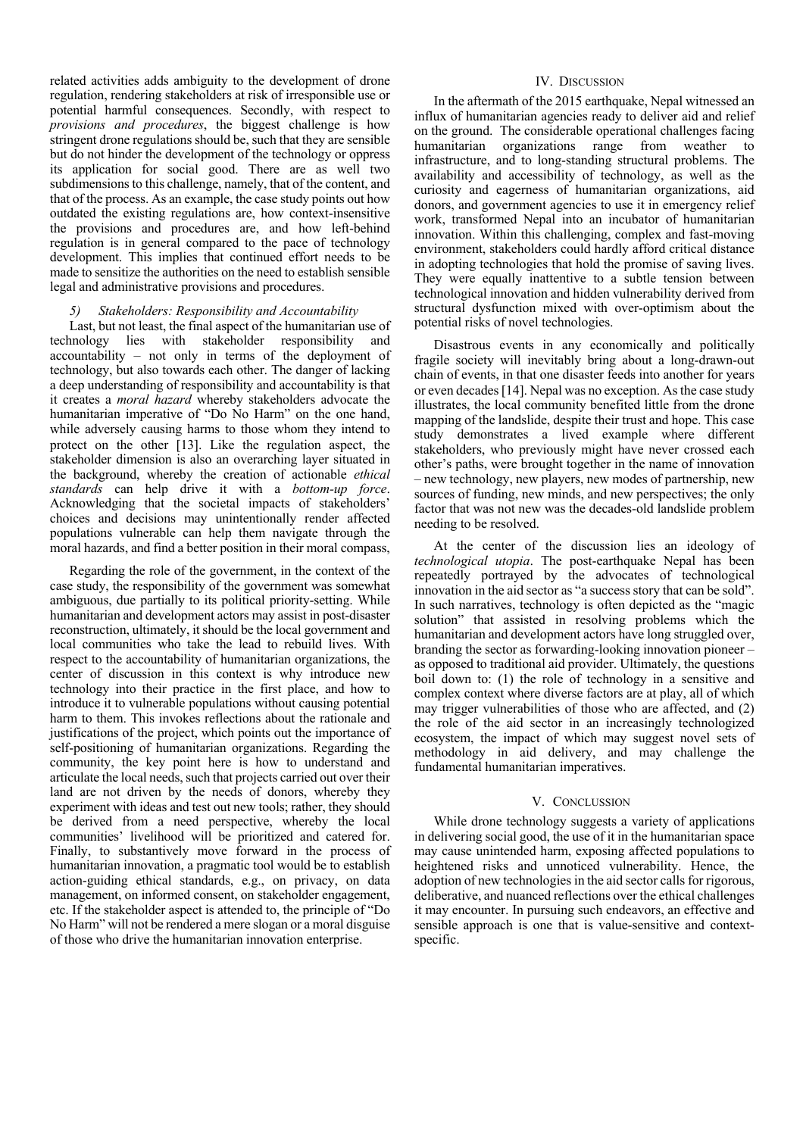related activities adds ambiguity to the development of drone regulation, rendering stakeholders at risk of irresponsible use or potential harmful consequences. Secondly, with respect to *provisions and procedures*, the biggest challenge is how stringent drone regulations should be, such that they are sensible but do not hinder the development of the technology or oppress its application for social good. There are as well two subdimensions to this challenge, namely, that of the content, and that of the process. As an example, the case study points out how outdated the existing regulations are, how context-insensitive the provisions and procedures are, and how left-behind regulation is in general compared to the pace of technology development. This implies that continued effort needs to be made to sensitize the authorities on the need to establish sensible legal and administrative provisions and procedures.

## *5) Stakeholders: Responsibility and Accountability*

Last, but not least, the final aspect of the humanitarian use of technology lies with stakeholder responsibility and accountability – not only in terms of the deployment of technology, but also towards each other. The danger of lacking a deep understanding of responsibility and accountability is that it creates a *moral hazard* whereby stakeholders advocate the humanitarian imperative of "Do No Harm" on the one hand, while adversely causing harms to those whom they intend to protect on the other [13]. Like the regulation aspect, the stakeholder dimension is also an overarching layer situated in the background, whereby the creation of actionable *ethical standards* can help drive it with a *bottom-up force*. Acknowledging that the societal impacts of stakeholders' choices and decisions may unintentionally render affected populations vulnerable can help them navigate through the moral hazards, and find a better position in their moral compass,

Regarding the role of the government, in the context of the case study, the responsibility of the government was somewhat ambiguous, due partially to its political priority-setting. While humanitarian and development actors may assist in post-disaster reconstruction, ultimately, it should be the local government and local communities who take the lead to rebuild lives. With respect to the accountability of humanitarian organizations, the center of discussion in this context is why introduce new technology into their practice in the first place, and how to introduce it to vulnerable populations without causing potential harm to them. This invokes reflections about the rationale and justifications of the project, which points out the importance of self-positioning of humanitarian organizations. Regarding the community, the key point here is how to understand and articulate the local needs, such that projects carried out over their land are not driven by the needs of donors, whereby they experiment with ideas and test out new tools; rather, they should be derived from a need perspective, whereby the local communities' livelihood will be prioritized and catered for. Finally, to substantively move forward in the process of humanitarian innovation, a pragmatic tool would be to establish action-guiding ethical standards, e.g., on privacy, on data management, on informed consent, on stakeholder engagement, etc. If the stakeholder aspect is attended to, the principle of "Do No Harm" will not be rendered a mere slogan or a moral disguise of those who drive the humanitarian innovation enterprise.

#### IV. DISCUSSION

In the aftermath of the 2015 earthquake, Nepal witnessed an influx of humanitarian agencies ready to deliver aid and relief on the ground. The considerable operational challenges facing humanitarian organizations range from weather to infrastructure, and to long-standing structural problems. The availability and accessibility of technology, as well as the curiosity and eagerness of humanitarian organizations, aid donors, and government agencies to use it in emergency relief work, transformed Nepal into an incubator of humanitarian innovation. Within this challenging, complex and fast-moving environment, stakeholders could hardly afford critical distance in adopting technologies that hold the promise of saving lives. They were equally inattentive to a subtle tension between technological innovation and hidden vulnerability derived from structural dysfunction mixed with over-optimism about the potential risks of novel technologies.

Disastrous events in any economically and politically fragile society will inevitably bring about a long-drawn-out chain of events, in that one disaster feeds into another for years or even decades [14]. Nepal was no exception. As the case study illustrates, the local community benefited little from the drone mapping of the landslide, despite their trust and hope. This case study demonstrates a lived example where different stakeholders, who previously might have never crossed each other's paths, were brought together in the name of innovation – new technology, new players, new modes of partnership, new sources of funding, new minds, and new perspectives; the only factor that was not new was the decades-old landslide problem needing to be resolved.

At the center of the discussion lies an ideology of *technological utopia*. The post-earthquake Nepal has been repeatedly portrayed by the advocates of technological innovation in the aid sector as "a success story that can be sold". In such narratives, technology is often depicted as the "magic solution" that assisted in resolving problems which the humanitarian and development actors have long struggled over, branding the sector as forwarding-looking innovation pioneer – as opposed to traditional aid provider. Ultimately, the questions boil down to: (1) the role of technology in a sensitive and complex context where diverse factors are at play, all of which may trigger vulnerabilities of those who are affected, and (2) the role of the aid sector in an increasingly technologized ecosystem, the impact of which may suggest novel sets of methodology in aid delivery, and may challenge the fundamental humanitarian imperatives.

#### V. CONCLUSSION

While drone technology suggests a variety of applications in delivering social good, the use of it in the humanitarian space may cause unintended harm, exposing affected populations to heightened risks and unnoticed vulnerability. Hence, the adoption of new technologies in the aid sector calls for rigorous, deliberative, and nuanced reflections over the ethical challenges it may encounter. In pursuing such endeavors, an effective and sensible approach is one that is value-sensitive and contextspecific.